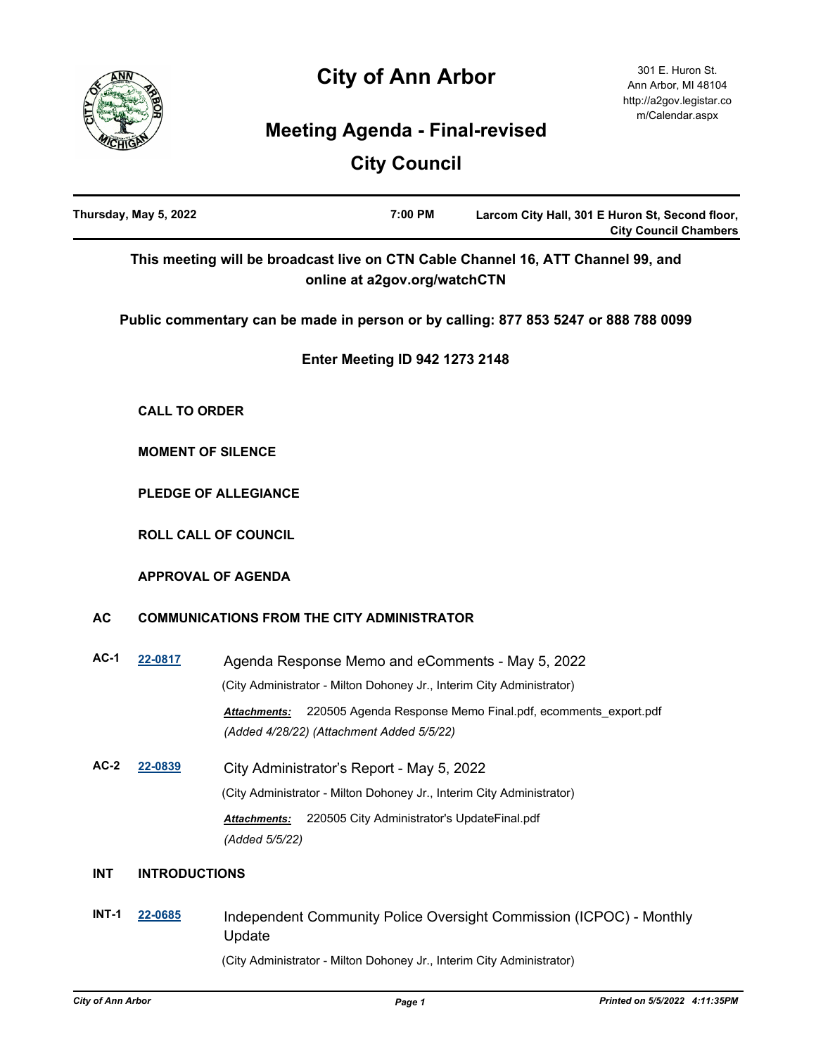# **City of Ann Arbor**



# **Meeting Agenda - Final-revised**

# **City Council**

| Thursday, May 5, 2022 |                      | 7:00 PM<br>Larcom City Hall, 301 E Huron St, Second floor,<br><b>City Council Chambers</b>                                      |
|-----------------------|----------------------|---------------------------------------------------------------------------------------------------------------------------------|
|                       |                      | This meeting will be broadcast live on CTN Cable Channel 16, ATT Channel 99, and<br>online at a2gov.org/watchCTN                |
|                       |                      | Public commentary can be made in person or by calling: 877 853 5247 or 888 788 0099                                             |
|                       |                      | <b>Enter Meeting ID 942 1273 2148</b>                                                                                           |
|                       | <b>CALL TO ORDER</b> |                                                                                                                                 |
|                       |                      | <b>MOMENT OF SILENCE</b>                                                                                                        |
|                       |                      | PLEDGE OF ALLEGIANCE                                                                                                            |
|                       |                      | <b>ROLL CALL OF COUNCIL</b>                                                                                                     |
|                       |                      | <b>APPROVAL OF AGENDA</b>                                                                                                       |
| <b>AC</b>             |                      | <b>COMMUNICATIONS FROM THE CITY ADMINISTRATOR</b>                                                                               |
| $AC-1$                | 22-0817              | Agenda Response Memo and eComments - May 5, 2022                                                                                |
|                       |                      | (City Administrator - Milton Dohoney Jr., Interim City Administrator)                                                           |
|                       |                      | 220505 Agenda Response Memo Final.pdf, ecomments_export.pdf<br><b>Attachments:</b><br>(Added 4/28/22) (Attachment Added 5/5/22) |
| $AC-2$                | 22-0839              | City Administrator's Report - May 5, 2022                                                                                       |
|                       |                      | (City Administrator - Milton Dohoney Jr., Interim City Administrator)                                                           |
|                       |                      | 220505 City Administrator's UpdateFinal.pdf<br>Attachments:<br>(Added 5/5/22)                                                   |
| <b>INT</b>            | <b>INTRODUCTIONS</b> |                                                                                                                                 |
| <b>INT-1</b>          | 22-0685              | Independent Community Police Oversight Commission (ICPOC) - Monthly<br>Update                                                   |
|                       |                      | (City Administrator - Milton Dohoney Jr., Interim City Administrator)                                                           |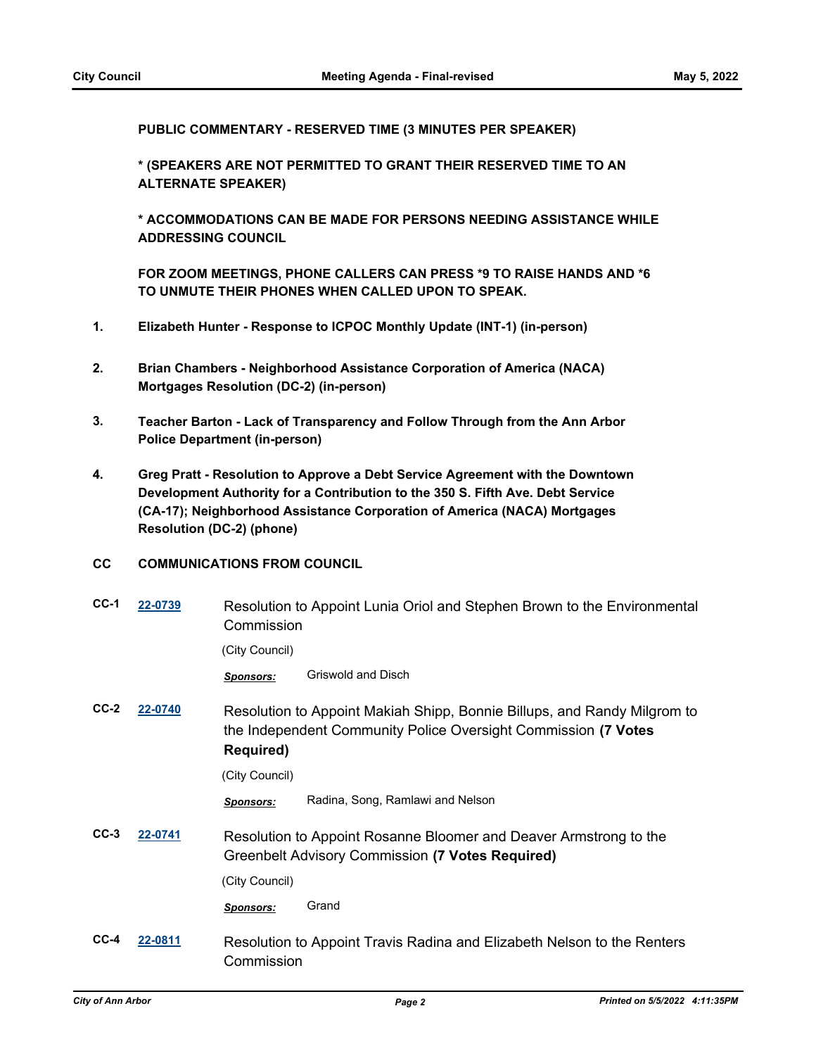**PUBLIC COMMENTARY - RESERVED TIME (3 MINUTES PER SPEAKER)**

**\* (SPEAKERS ARE NOT PERMITTED TO GRANT THEIR RESERVED TIME TO AN ALTERNATE SPEAKER)**

**\* ACCOMMODATIONS CAN BE MADE FOR PERSONS NEEDING ASSISTANCE WHILE ADDRESSING COUNCIL**

**FOR ZOOM MEETINGS, PHONE CALLERS CAN PRESS \*9 TO RAISE HANDS AND \*6 TO UNMUTE THEIR PHONES WHEN CALLED UPON TO SPEAK.**

- **1. Elizabeth Hunter Response to ICPOC Monthly Update (INT-1) (in-person)**
- **2. Brian Chambers Neighborhood Assistance Corporation of America (NACA) Mortgages Resolution (DC-2) (in-person)**
- **3. Teacher Barton Lack of Transparency and Follow Through from the Ann Arbor Police Department (in-person)**
- **4. Greg Pratt Resolution to Approve a Debt Service Agreement with the Downtown Development Authority for a Contribution to the 350 S. Fifth Ave. Debt Service (CA-17); Neighborhood Assistance Corporation of America (NACA) Mortgages Resolution (DC-2) (phone)**

#### **CC COMMUNICATIONS FROM COUNCIL**

| $CC-1$ | 22-0739 | Commission       | Resolution to Appoint Lunia Oriol and Stephen Brown to the Environmental                                                                   |
|--------|---------|------------------|--------------------------------------------------------------------------------------------------------------------------------------------|
|        |         | (City Council)   |                                                                                                                                            |
|        |         | <b>Sponsors:</b> | Griswold and Disch                                                                                                                         |
| $CC-2$ | 22-0740 | <b>Required)</b> | Resolution to Appoint Makiah Shipp, Bonnie Billups, and Randy Milgrom to<br>the Independent Community Police Oversight Commission (7 Votes |
|        |         | (City Council)   |                                                                                                                                            |
|        |         | <b>Sponsors:</b> | Radina, Song, Ramlawi and Nelson                                                                                                           |
| $CC-3$ | 22-0741 |                  | Resolution to Appoint Rosanne Bloomer and Deaver Armstrong to the<br>Greenbelt Advisory Commission (7 Votes Required)                      |
|        |         | (City Council)   |                                                                                                                                            |
|        |         | <b>Sponsors:</b> | Grand                                                                                                                                      |
| $CC-4$ | 22-0811 | Commission       | Resolution to Appoint Travis Radina and Elizabeth Nelson to the Renters                                                                    |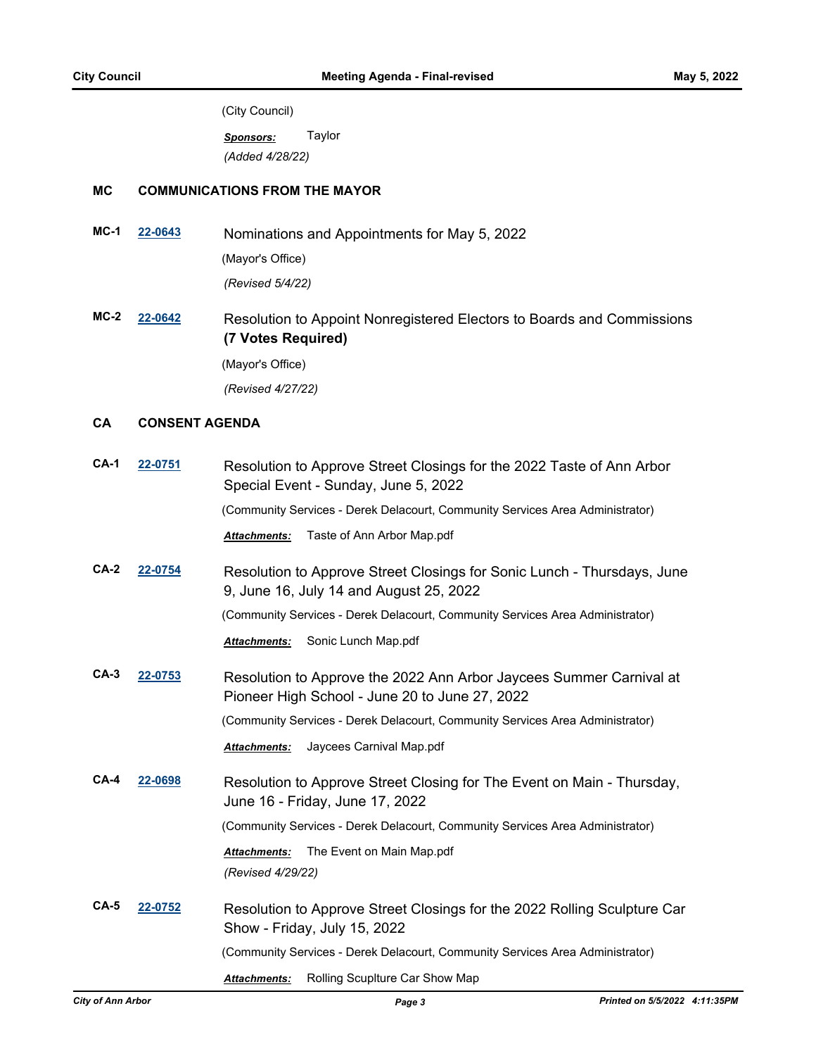(City Council)

*Sponsors:* Taylor *(Added 4/28/22)*

## **MC COMMUNICATIONS FROM THE MAYOR**

**MC-1 [22-0643](http://a2gov.legistar.com/gateway.aspx?M=L&ID=29821)** Nominations and Appointments for May 5, 2022 (Mayor's Office)

*(Revised 5/4/22)*

**MC-2 [22-0642](http://a2gov.legistar.com/gateway.aspx?M=L&ID=29820)** Resolution to Appoint Nonregistered Electors to Boards and Commissions **(7 Votes Required)** (Mayor's Office)

*(Revised 4/27/22)*

## **CA CONSENT AGENDA**

| $CA-1$ | 22-0751 | Resolution to Approve Street Closings for the 2022 Taste of Ann Arbor<br>Special Event - Sunday, June 5, 2022         |
|--------|---------|-----------------------------------------------------------------------------------------------------------------------|
|        |         | (Community Services - Derek Delacourt, Community Services Area Administrator)                                         |
|        |         | Taste of Ann Arbor Map.pdf<br><b>Attachments:</b>                                                                     |
| $CA-2$ | 22-0754 | Resolution to Approve Street Closings for Sonic Lunch - Thursdays, June<br>9, June 16, July 14 and August 25, 2022    |
|        |         | (Community Services - Derek Delacourt, Community Services Area Administrator)                                         |
|        |         | Sonic Lunch Map.pdf<br><b>Attachments:</b>                                                                            |
| $CA-3$ | 22-0753 | Resolution to Approve the 2022 Ann Arbor Jaycees Summer Carnival at<br>Pioneer High School - June 20 to June 27, 2022 |
|        |         | (Community Services - Derek Delacourt, Community Services Area Administrator)                                         |
|        |         | Jaycees Carnival Map.pdf<br><b>Attachments:</b>                                                                       |
| $CA-4$ | 22-0698 | Resolution to Approve Street Closing for The Event on Main - Thursday,<br>June 16 - Friday, June 17, 2022             |
|        |         | (Community Services - Derek Delacourt, Community Services Area Administrator)                                         |
|        |         | The Event on Main Map.pdf<br><b>Attachments:</b><br>(Revised 4/29/22)                                                 |
| $CA-5$ | 22-0752 | Resolution to Approve Street Closings for the 2022 Rolling Sculpture Car<br>Show - Friday, July 15, 2022              |
|        |         | (Community Services - Derek Delacourt, Community Services Area Administrator)                                         |
|        |         | Rolling Scuplture Car Show Map<br><b>Attachments:</b>                                                                 |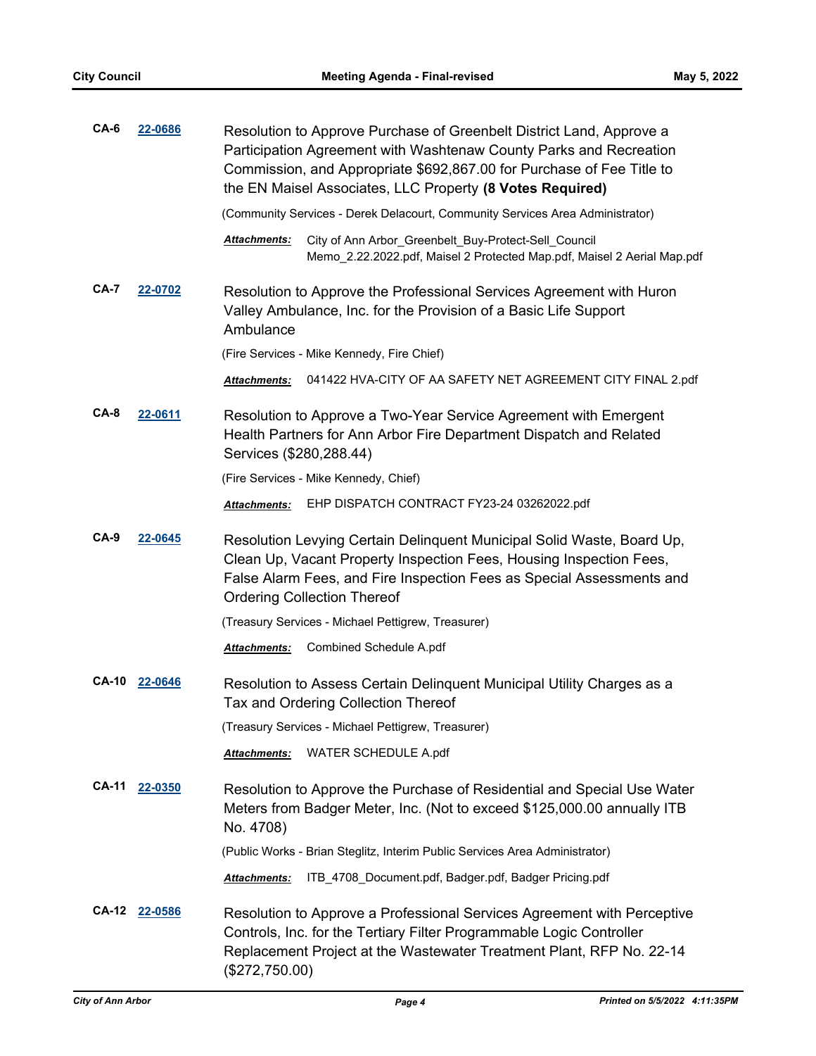| CA-6         | 22-0686 | Resolution to Approve Purchase of Greenbelt District Land, Approve a<br>Participation Agreement with Washtenaw County Parks and Recreation<br>Commission, and Appropriate \$692,867.00 for Purchase of Fee Title to<br>the EN Maisel Associates, LLC Property (8 Votes Required) |
|--------------|---------|----------------------------------------------------------------------------------------------------------------------------------------------------------------------------------------------------------------------------------------------------------------------------------|
|              |         | (Community Services - Derek Delacourt, Community Services Area Administrator)                                                                                                                                                                                                    |
|              |         | City of Ann Arbor_Greenbelt_Buy-Protect-Sell_Council<br>Attachments:<br>Memo_2.22.2022.pdf, Maisel 2 Protected Map.pdf, Maisel 2 Aerial Map.pdf                                                                                                                                  |
| CA-7         | 22-0702 | Resolution to Approve the Professional Services Agreement with Huron<br>Valley Ambulance, Inc. for the Provision of a Basic Life Support<br>Ambulance                                                                                                                            |
|              |         | (Fire Services - Mike Kennedy, Fire Chief)                                                                                                                                                                                                                                       |
|              |         | 041422 HVA-CITY OF AA SAFETY NET AGREEMENT CITY FINAL 2.pdf<br><b>Attachments:</b>                                                                                                                                                                                               |
| CA-8         | 22-0611 | Resolution to Approve a Two-Year Service Agreement with Emergent<br>Health Partners for Ann Arbor Fire Department Dispatch and Related<br>Services (\$280,288.44)                                                                                                                |
|              |         | (Fire Services - Mike Kennedy, Chief)                                                                                                                                                                                                                                            |
|              |         | EHP DISPATCH CONTRACT FY23-24 03262022.pdf<br><b>Attachments:</b>                                                                                                                                                                                                                |
| CA-9         | 22-0645 | Resolution Levying Certain Delinquent Municipal Solid Waste, Board Up,<br>Clean Up, Vacant Property Inspection Fees, Housing Inspection Fees,<br>False Alarm Fees, and Fire Inspection Fees as Special Assessments and<br><b>Ordering Collection Thereof</b>                     |
|              |         | (Treasury Services - Michael Pettigrew, Treasurer)                                                                                                                                                                                                                               |
|              |         | Combined Schedule A.pdf<br><b>Attachments:</b>                                                                                                                                                                                                                                   |
| <b>CA-10</b> | 22-0646 | Resolution to Assess Certain Delinquent Municipal Utility Charges as a<br>Tax and Ordering Collection Thereof                                                                                                                                                                    |
|              |         | (Treasury Services - Michael Pettigrew, Treasurer)                                                                                                                                                                                                                               |
|              |         | WATER SCHEDULE A.pdf<br>Attachments:                                                                                                                                                                                                                                             |
| <b>CA-11</b> | 22-0350 | Resolution to Approve the Purchase of Residential and Special Use Water<br>Meters from Badger Meter, Inc. (Not to exceed \$125,000.00 annually ITB<br>No. 4708)                                                                                                                  |
|              |         | (Public Works - Brian Steglitz, Interim Public Services Area Administrator)                                                                                                                                                                                                      |
|              |         | ITB 4708 Document.pdf, Badger.pdf, Badger Pricing.pdf<br>Attachments:                                                                                                                                                                                                            |
| <b>CA-12</b> | 22-0586 | Resolution to Approve a Professional Services Agreement with Perceptive<br>Controls, Inc. for the Tertiary Filter Programmable Logic Controller<br>Replacement Project at the Wastewater Treatment Plant, RFP No. 22-14<br>(\$272,750.00)                                        |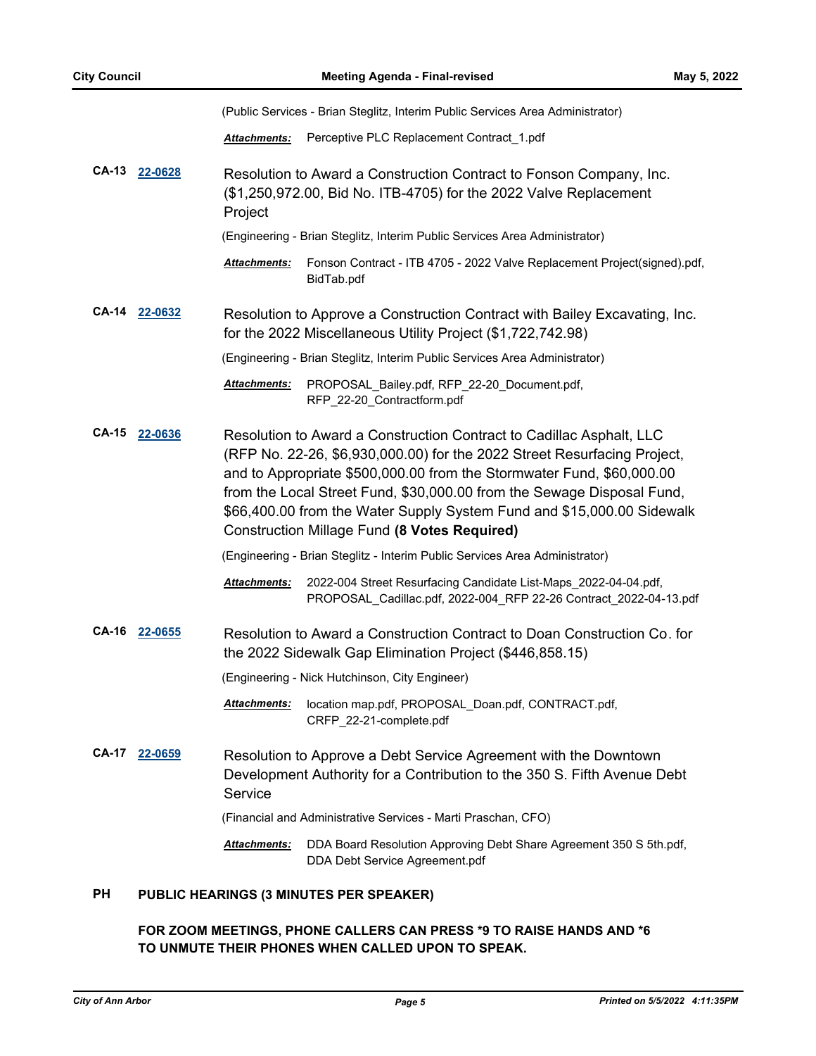(Public Services - Brian Steglitz, Interim Public Services Area Administrator) *Attachments:* Perceptive PLC Replacement Contract\_1.pdf **CA-13 [22-0628](http://a2gov.legistar.com/gateway.aspx?M=L&ID=29806)** Resolution to Award a Construction Contract to Fonson Company, Inc. (\$1,250,972.00, Bid No. ITB-4705) for the 2022 Valve Replacement Project (Engineering - Brian Steglitz, Interim Public Services Area Administrator) Fonson Contract - ITB 4705 - 2022 Valve Replacement Project(signed).pdf, BidTab.pdf *Attachments:* **CA-14 [22-0632](http://a2gov.legistar.com/gateway.aspx?M=L&ID=29810)** Resolution to Approve a Construction Contract with Bailey Excavating, Inc. for the 2022 Miscellaneous Utility Project (\$1,722,742.98) (Engineering - Brian Steglitz, Interim Public Services Area Administrator) Attachments: PROPOSAL\_Bailey.pdf, RFP\_22-20\_Document.pdf, RFP\_22-20\_Contractform.pdf **CA-15 [22-0636](http://a2gov.legistar.com/gateway.aspx?M=L&ID=29814)** Resolution to Award a Construction Contract to Cadillac Asphalt, LLC (RFP No. 22-26, \$6,930,000.00) for the 2022 Street Resurfacing Project, and to Appropriate \$500,000.00 from the Stormwater Fund, \$60,000.00 from the Local Street Fund, \$30,000.00 from the Sewage Disposal Fund, \$66,400.00 from the Water Supply System Fund and \$15,000.00 Sidewalk Construction Millage Fund **(8 Votes Required)** (Engineering - Brian Steglitz - Interim Public Services Area Administrator) 2022-004 Street Resurfacing Candidate List-Maps\_2022-04-04.pdf, PROPOSAL\_Cadillac.pdf, 2022-004\_RFP 22-26 Contract\_2022-04-13.pdf *Attachments:* **CA-16 [22-0655](http://a2gov.legistar.com/gateway.aspx?M=L&ID=29833)** Resolution to Award a Construction Contract to Doan Construction Co. for the 2022 Sidewalk Gap Elimination Project (\$446,858.15) (Engineering - Nick Hutchinson, City Engineer) Attachments: location map.pdf, PROPOSAL\_Doan.pdf, CONTRACT.pdf, CRFP\_22-21-complete.pdf **CA-17 [22-0659](http://a2gov.legistar.com/gateway.aspx?M=L&ID=29837)** Resolution to Approve a Debt Service Agreement with the Downtown Development Authority for a Contribution to the 350 S. Fifth Avenue Debt Service (Financial and Administrative Services - Marti Praschan, CFO) Attachments: DDA Board Resolution Approving Debt Share Agreement 350 S 5th.pdf, DDA Debt Service Agreement.pdf **PH PUBLIC HEARINGS (3 MINUTES PER SPEAKER)**

# **FOR ZOOM MEETINGS, PHONE CALLERS CAN PRESS \*9 TO RAISE HANDS AND \*6 TO UNMUTE THEIR PHONES WHEN CALLED UPON TO SPEAK.**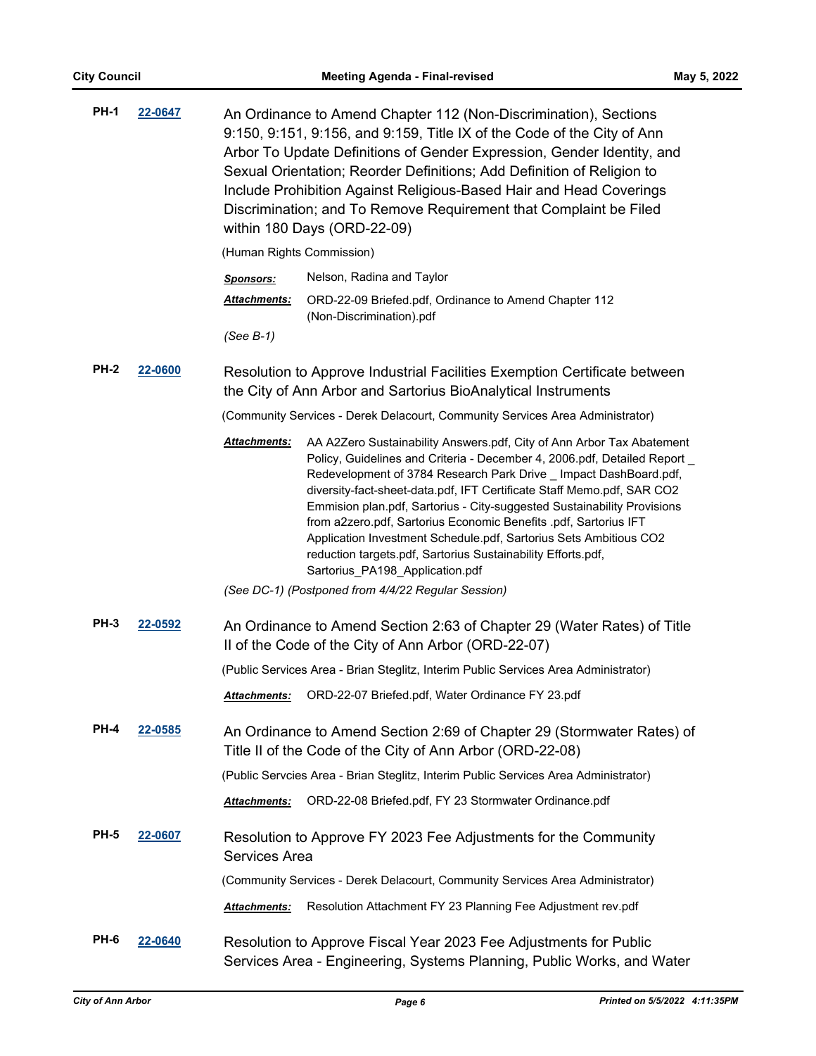| <b>PH-1</b> | 22-0647 | An Ordinance to Amend Chapter 112 (Non-Discrimination), Sections<br>9:150, 9:151, 9:156, and 9:159, Title IX of the Code of the City of Ann<br>Arbor To Update Definitions of Gender Expression, Gender Identity, and<br>Sexual Orientation; Reorder Definitions; Add Definition of Religion to<br>Include Prohibition Against Religious-Based Hair and Head Coverings<br>Discrimination; and To Remove Requirement that Complaint be Filed<br>within 180 Days (ORD-22-09)                                                                                                                                                               |
|-------------|---------|------------------------------------------------------------------------------------------------------------------------------------------------------------------------------------------------------------------------------------------------------------------------------------------------------------------------------------------------------------------------------------------------------------------------------------------------------------------------------------------------------------------------------------------------------------------------------------------------------------------------------------------|
|             |         | (Human Rights Commission)                                                                                                                                                                                                                                                                                                                                                                                                                                                                                                                                                                                                                |
|             |         | Nelson, Radina and Taylor<br><b>Sponsors:</b>                                                                                                                                                                                                                                                                                                                                                                                                                                                                                                                                                                                            |
|             |         | Attachments:<br>ORD-22-09 Briefed.pdf, Ordinance to Amend Chapter 112<br>(Non-Discrimination).pdf                                                                                                                                                                                                                                                                                                                                                                                                                                                                                                                                        |
|             |         | $(See B-1)$                                                                                                                                                                                                                                                                                                                                                                                                                                                                                                                                                                                                                              |
| <b>PH-2</b> | 22-0600 | Resolution to Approve Industrial Facilities Exemption Certificate between<br>the City of Ann Arbor and Sartorius BioAnalytical Instruments                                                                                                                                                                                                                                                                                                                                                                                                                                                                                               |
|             |         | (Community Services - Derek Delacourt, Community Services Area Administrator)                                                                                                                                                                                                                                                                                                                                                                                                                                                                                                                                                            |
|             |         | Attachments:<br>AA A2Zero Sustainability Answers.pdf, City of Ann Arbor Tax Abatement<br>Policy, Guidelines and Criteria - December 4, 2006.pdf, Detailed Report _<br>Redevelopment of 3784 Research Park Drive _ Impact DashBoard.pdf,<br>diversity-fact-sheet-data.pdf, IFT Certificate Staff Memo.pdf, SAR CO2<br>Emmision plan.pdf, Sartorius - City-suggested Sustainability Provisions<br>from a2zero.pdf, Sartorius Economic Benefits .pdf, Sartorius IFT<br>Application Investment Schedule.pdf, Sartorius Sets Ambitious CO2<br>reduction targets.pdf, Sartorius Sustainability Efforts.pdf,<br>Sartorius_PA198_Application.pdf |
|             |         | (See DC-1) (Postponed from 4/4/22 Regular Session)                                                                                                                                                                                                                                                                                                                                                                                                                                                                                                                                                                                       |
| <b>PH-3</b> | 22-0592 | An Ordinance to Amend Section 2:63 of Chapter 29 (Water Rates) of Title<br>II of the Code of the City of Ann Arbor (ORD-22-07)                                                                                                                                                                                                                                                                                                                                                                                                                                                                                                           |
|             |         | (Public Services Area - Brian Steglitz, Interim Public Services Area Administrator)                                                                                                                                                                                                                                                                                                                                                                                                                                                                                                                                                      |
|             |         | Attachments: ORD-22-07 Briefed.pdf, Water Ordinance FY 23.pdf                                                                                                                                                                                                                                                                                                                                                                                                                                                                                                                                                                            |
| <b>PH-4</b> | 22-0585 | An Ordinance to Amend Section 2:69 of Chapter 29 (Stormwater Rates) of<br>Title II of the Code of the City of Ann Arbor (ORD-22-08)                                                                                                                                                                                                                                                                                                                                                                                                                                                                                                      |
|             |         | (Public Servcies Area - Brian Steglitz, Interim Public Services Area Administrator)                                                                                                                                                                                                                                                                                                                                                                                                                                                                                                                                                      |
|             |         | ORD-22-08 Briefed.pdf, FY 23 Stormwater Ordinance.pdf<br><b>Attachments:</b>                                                                                                                                                                                                                                                                                                                                                                                                                                                                                                                                                             |
| PH-5        | 22-0607 | Resolution to Approve FY 2023 Fee Adjustments for the Community<br><b>Services Area</b>                                                                                                                                                                                                                                                                                                                                                                                                                                                                                                                                                  |
|             |         | (Community Services - Derek Delacourt, Community Services Area Administrator)                                                                                                                                                                                                                                                                                                                                                                                                                                                                                                                                                            |
|             |         | Resolution Attachment FY 23 Planning Fee Adjustment rev.pdf<br>Attachments:                                                                                                                                                                                                                                                                                                                                                                                                                                                                                                                                                              |
| PH-6        | 22-0640 | Resolution to Approve Fiscal Year 2023 Fee Adjustments for Public<br>Services Area - Engineering, Systems Planning, Public Works, and Water                                                                                                                                                                                                                                                                                                                                                                                                                                                                                              |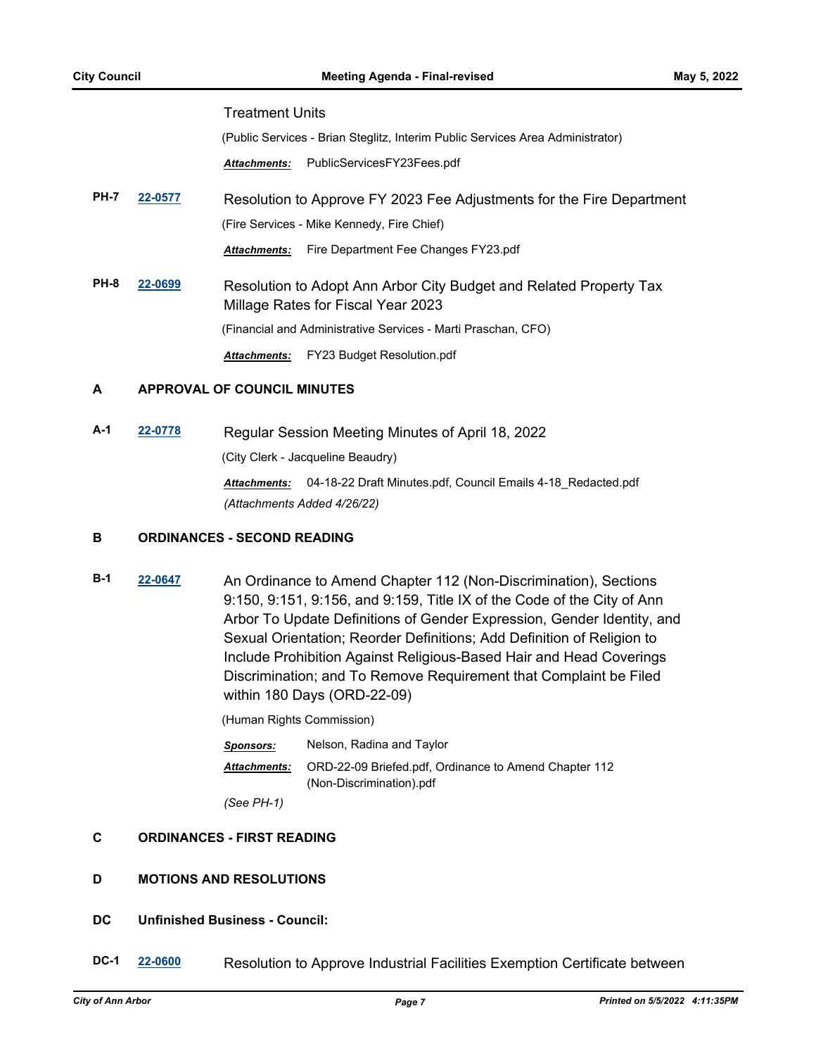#### Treatment Units

(Public Services - Brian Steglitz, Interim Public Services Area Administrator)

*Attachments:* PublicServicesFY23Fees.pdf

**PH-7 [22-0577](http://a2gov.legistar.com/gateway.aspx?M=L&ID=29755)** Resolution to Approve FY 2023 Fee Adjustments for the Fire Department (Fire Services - Mike Kennedy, Fire Chief)

*Attachments:* Fire Department Fee Changes FY23.pdf

**PH-8 [22-0699](http://a2gov.legistar.com/gateway.aspx?M=L&ID=29877)** Resolution to Adopt Ann Arbor City Budget and Related Property Tax Millage Rates for Fiscal Year 2023 (Financial and Administrative Services - Marti Praschan, CFO)

*Attachments:* FY23 Budget Resolution.pdf

#### **A APPROVAL OF COUNCIL MINUTES**

**A-1 [22-0778](http://a2gov.legistar.com/gateway.aspx?M=L&ID=29955)** Regular Session Meeting Minutes of April 18, 2022

(City Clerk - Jacqueline Beaudry)

*Attachments:* 04-18-22 Draft Minutes.pdf, Council Emails 4-18\_Redacted.pdf *(Attachments Added 4/26/22)*

#### **B ORDINANCES - SECOND READING**

**B-1 [22-0647](http://a2gov.legistar.com/gateway.aspx?M=L&ID=29825)** An Ordinance to Amend Chapter 112 (Non-Discrimination), Sections 9:150, 9:151, 9:156, and 9:159, Title IX of the Code of the City of Ann Arbor To Update Definitions of Gender Expression, Gender Identity, and Sexual Orientation; Reorder Definitions; Add Definition of Religion to Include Prohibition Against Religious-Based Hair and Head Coverings Discrimination; and To Remove Requirement that Complaint be Filed within 180 Days (ORD-22-09)

(Human Rights Commission)

*Sponsors:* Nelson, Radina and Taylor ORD-22-09 Briefed.pdf, Ordinance to Amend Chapter 112 (Non-Discrimination).pdf *Attachments: (See PH-1)*

# **C ORDINANCES - FIRST READING**

# **D MOTIONS AND RESOLUTIONS**

# **DC Unfinished Business - Council:**

**DC-1 [22-0600](http://a2gov.legistar.com/gateway.aspx?M=L&ID=29778)** Resolution to Approve Industrial Facilities Exemption Certificate between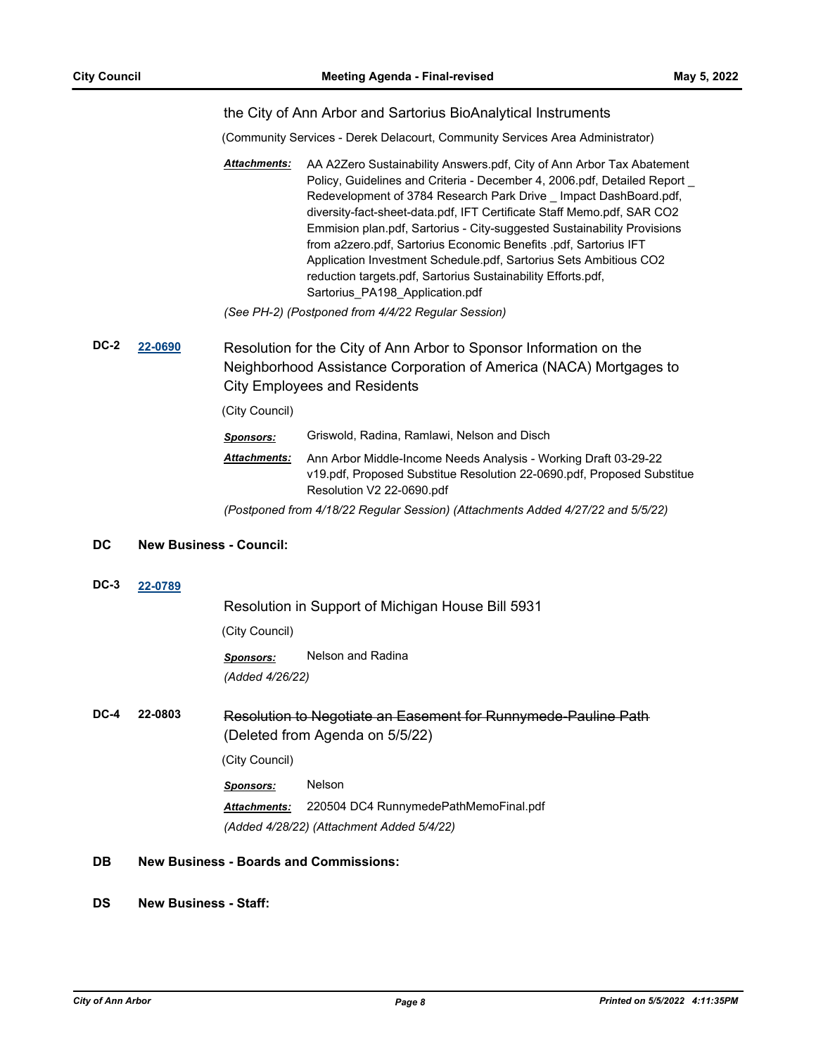#### the City of Ann Arbor and Sartorius BioAnalytical Instruments

(Community Services - Derek Delacourt, Community Services Area Administrator)

AA A2Zero Sustainability Answers.pdf, City of Ann Arbor Tax Abatement Policy, Guidelines and Criteria - December 4, 2006.pdf, Detailed Report \_ Redevelopment of 3784 Research Park Drive \_ Impact DashBoard.pdf, diversity-fact-sheet-data.pdf, IFT Certificate Staff Memo.pdf, SAR CO2 Emmision plan.pdf, Sartorius - City-suggested Sustainability Provisions from a2zero.pdf, Sartorius Economic Benefits .pdf, Sartorius IFT Application Investment Schedule.pdf, Sartorius Sets Ambitious CO2 reduction targets.pdf, Sartorius Sustainability Efforts.pdf, Sartorius\_PA198\_Application.pdf *Attachments:*

*(See PH-2) (Postponed from 4/4/22 Regular Session)*

**DC-2 [22-0690](http://a2gov.legistar.com/gateway.aspx?M=L&ID=29868)** Resolution for the City of Ann Arbor to Sponsor Information on the Neighborhood Assistance Corporation of America (NACA) Mortgages to City Employees and Residents

(City Council)

- *Sponsors:* Griswold, Radina, Ramlawi, Nelson and Disch
- Ann Arbor Middle-Income Needs Analysis Working Draft 03-29-22 v19.pdf, Proposed Substitue Resolution 22-0690.pdf, Proposed Substitue Resolution V2 22-0690.pdf *Attachments:*
- *(Postponed from 4/18/22 Regular Session) (Attachments Added 4/27/22 and 5/5/22)*

#### **DC New Business - Council:**

**DC-3 [22-0789](http://a2gov.legistar.com/gateway.aspx?M=L&ID=29966)**

Resolution in Support of Michigan House Bill 5931

(City Council)

*Sponsors:* Nelson and Radina

*(Added 4/26/22)*

**DC-4 22-0803** Resolution to Negotiate an Easement for Runnymede-Pauline Path (Deleted from Agenda on 5/5/22)

(City Council)

*Sponsors:* Nelson *Attachments:* 220504 DC4 RunnymedePathMemoFinal.pdf *(Added 4/28/22) (Attachment Added 5/4/22)*

- **DB New Business Boards and Commissions:**
- **DS New Business Staff:**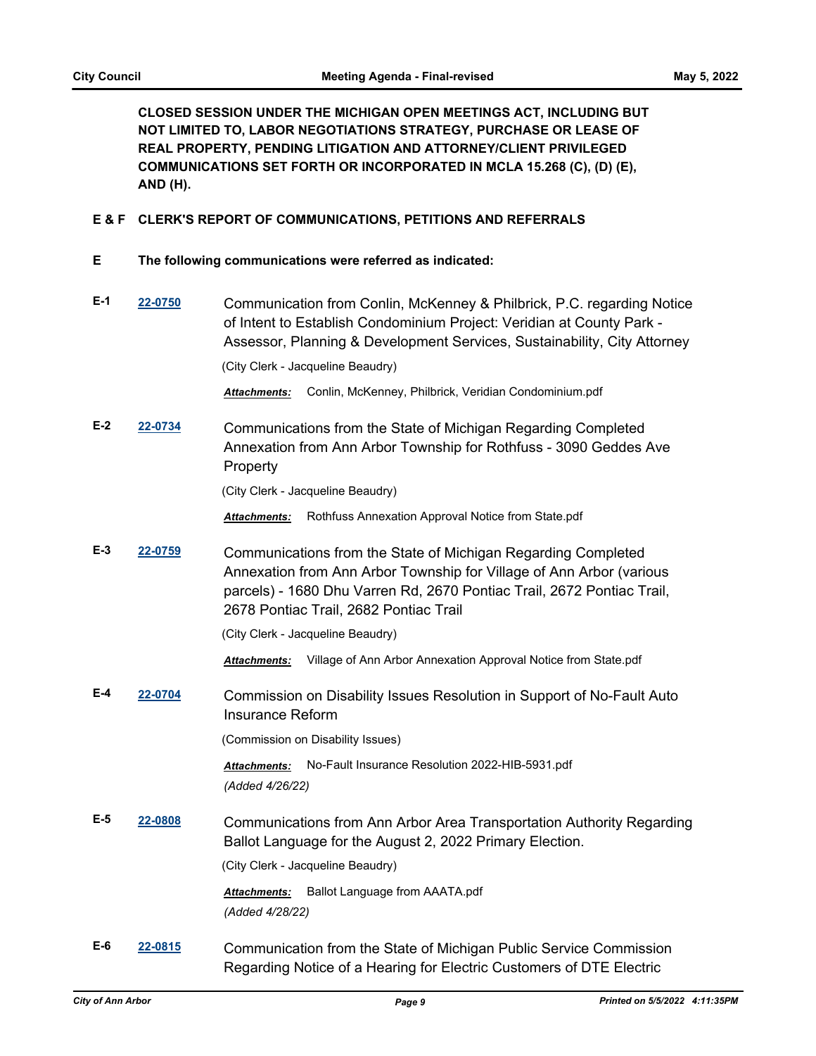**CLOSED SESSION UNDER THE MICHIGAN OPEN MEETINGS ACT, INCLUDING BUT NOT LIMITED TO, LABOR NEGOTIATIONS STRATEGY, PURCHASE OR LEASE OF REAL PROPERTY, PENDING LITIGATION AND ATTORNEY/CLIENT PRIVILEGED COMMUNICATIONS SET FORTH OR INCORPORATED IN MCLA 15.268 (C), (D) (E), AND (H).**

## **E & F CLERK'S REPORT OF COMMUNICATIONS, PETITIONS AND REFERRALS**

- **E The following communications were referred as indicated:**
- **E-1 [22-0750](http://a2gov.legistar.com/gateway.aspx?M=L&ID=29927)** Communication from Conlin, McKenney & Philbrick, P.C. regarding Notice of Intent to Establish Condominium Project: Veridian at County Park - Assessor, Planning & Development Services, Sustainability, City Attorney

(City Clerk - Jacqueline Beaudry)

*Attachments:* Conlin, McKenney, Philbrick, Veridian Condominium.pdf

**E-2 [22-0734](http://a2gov.legistar.com/gateway.aspx?M=L&ID=29912)** Communications from the State of Michigan Regarding Completed Annexation from Ann Arbor Township for Rothfuss - 3090 Geddes Ave Property

(City Clerk - Jacqueline Beaudry)

*Attachments:* Rothfuss Annexation Approval Notice from State.pdf

**E-3 [22-0759](http://a2gov.legistar.com/gateway.aspx?M=L&ID=29936)** Communications from the State of Michigan Regarding Completed Annexation from Ann Arbor Township for Village of Ann Arbor (various parcels) - 1680 Dhu Varren Rd, 2670 Pontiac Trail, 2672 Pontiac Trail, 2678 Pontiac Trail, 2682 Pontiac Trail

(City Clerk - Jacqueline Beaudry)

*Attachments:* Village of Ann Arbor Annexation Approval Notice from State.pdf

**E-4 [22-0704](http://a2gov.legistar.com/gateway.aspx?M=L&ID=29882)** Commission on Disability Issues Resolution in Support of No-Fault Auto Insurance Reform

(Commission on Disability Issues)

*Attachments:* No-Fault Insurance Resolution 2022-HIB-5931.pdf *(Added 4/26/22)*

**E-5 [22-0808](http://a2gov.legistar.com/gateway.aspx?M=L&ID=29985)** Communications from Ann Arbor Area Transportation Authority Regarding Ballot Language for the August 2, 2022 Primary Election.

(City Clerk - Jacqueline Beaudry)

*Attachments:* Ballot Language from AAATA.pdf *(Added 4/28/22)*

**E-6 [22-0815](http://a2gov.legistar.com/gateway.aspx?M=L&ID=29991)** Communication from the State of Michigan Public Service Commission Regarding Notice of a Hearing for Electric Customers of DTE Electric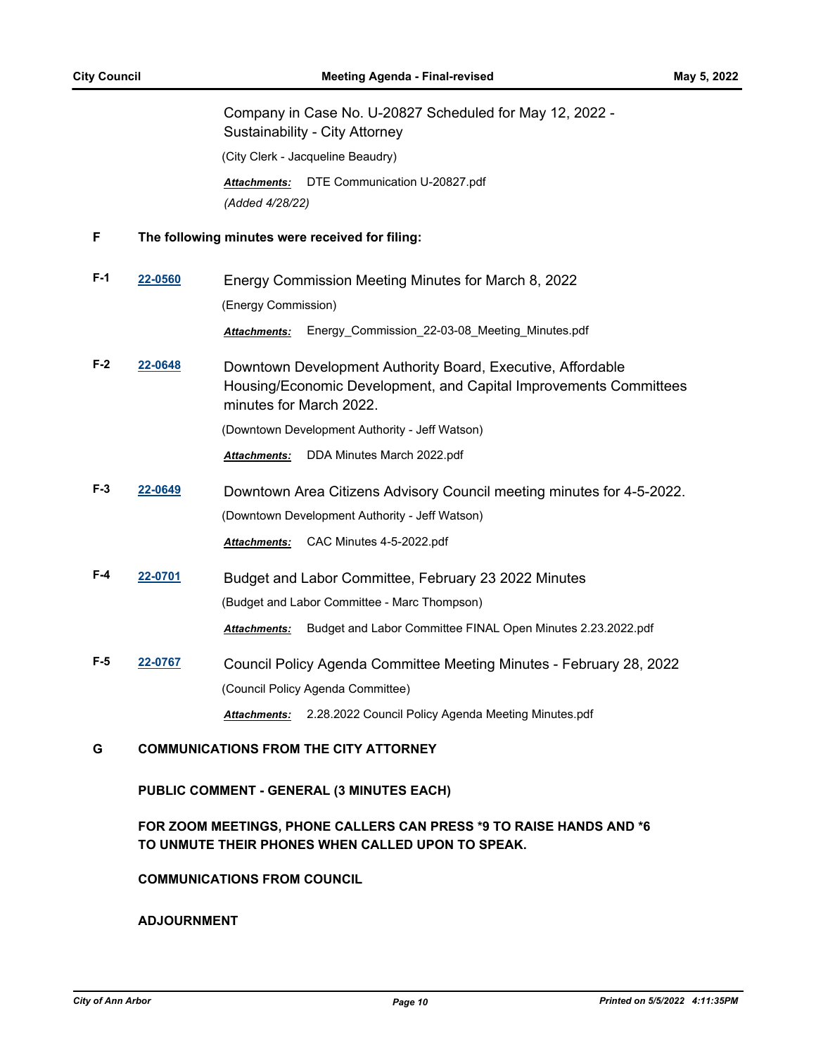Company in Case No. U-20827 Scheduled for May 12, 2022 - Sustainability - City Attorney

(City Clerk - Jacqueline Beaudry)

*Attachments:* DTE Communication U-20827.pdf *(Added 4/28/22)*

#### **F The following minutes were received for filing:**

- **F-1 [22-0560](http://a2gov.legistar.com/gateway.aspx?M=L&ID=29738)** Energy Commission Meeting Minutes for March 8, 2022 (Energy Commission) *Attachments:* Energy\_Commission\_22-03-08\_Meeting\_Minutes.pdf
- **F-2 [22-0648](http://a2gov.legistar.com/gateway.aspx?M=L&ID=29826)** Downtown Development Authority Board, Executive, Affordable Housing/Economic Development, and Capital Improvements Committees minutes for March 2022.

(Downtown Development Authority - Jeff Watson)

*Attachments:* DDA Minutes March 2022.pdf

- **F-3 [22-0649](http://a2gov.legistar.com/gateway.aspx?M=L&ID=29827)** Downtown Area Citizens Advisory Council meeting minutes for 4-5-2022. (Downtown Development Authority - Jeff Watson) *Attachments:* CAC Minutes 4-5-2022.pdf
- **F-4 [22-0701](http://a2gov.legistar.com/gateway.aspx?M=L&ID=29879)** Budget and Labor Committee, February 23 2022 Minutes (Budget and Labor Committee - Marc Thompson) *Attachments:* Budget and Labor Committee FINAL Open Minutes 2.23.2022.pdf
- **F-5 [22-0767](http://a2gov.legistar.com/gateway.aspx?M=L&ID=29944)** Council Policy Agenda Committee Meeting Minutes February 28, 2022 (Council Policy Agenda Committee) *Attachments:* 2.28.2022 Council Policy Agenda Meeting Minutes.pdf

# **G COMMUNICATIONS FROM THE CITY ATTORNEY**

**PUBLIC COMMENT - GENERAL (3 MINUTES EACH)**

# **FOR ZOOM MEETINGS, PHONE CALLERS CAN PRESS \*9 TO RAISE HANDS AND \*6 TO UNMUTE THEIR PHONES WHEN CALLED UPON TO SPEAK.**

#### **COMMUNICATIONS FROM COUNCIL**

**ADJOURNMENT**